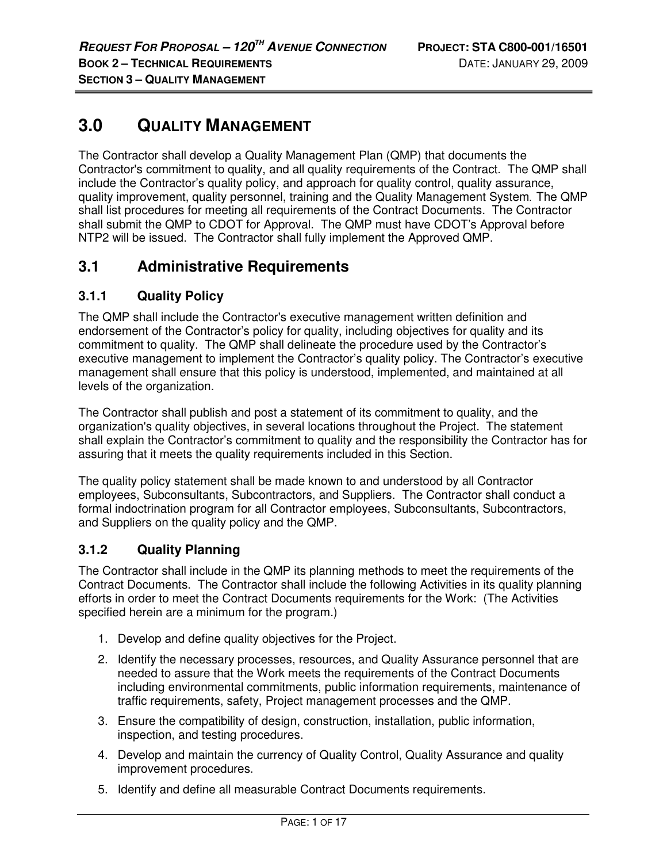# **3.0 QUALITY MANAGEMENT**

The Contractor shall develop a Quality Management Plan (QMP) that documents the Contractor's commitment to quality, and all quality requirements of the Contract. The QMP shall include the Contractor's quality policy, and approach for quality control, quality assurance, quality improvement, quality personnel, training and the Quality Management System. The QMP shall list procedures for meeting all requirements of the Contract Documents. The Contractor shall submit the QMP to CDOT for Approval. The QMP must have CDOT's Approval before NTP2 will be issued. The Contractor shall fully implement the Approved QMP.

# **3.1 Administrative Requirements**

### **3.1.1 Quality Policy**

The QMP shall include the Contractor's executive management written definition and endorsement of the Contractor's policy for quality, including objectives for quality and its commitment to quality. The QMP shall delineate the procedure used by the Contractor's executive management to implement the Contractor's quality policy. The Contractor's executive management shall ensure that this policy is understood, implemented, and maintained at all levels of the organization.

The Contractor shall publish and post a statement of its commitment to quality, and the organization's quality objectives, in several locations throughout the Project. The statement shall explain the Contractor's commitment to quality and the responsibility the Contractor has for assuring that it meets the quality requirements included in this Section.

The quality policy statement shall be made known to and understood by all Contractor employees, Subconsultants, Subcontractors, and Suppliers. The Contractor shall conduct a formal indoctrination program for all Contractor employees, Subconsultants, Subcontractors, and Suppliers on the quality policy and the QMP.

### **3.1.2 Quality Planning**

The Contractor shall include in the QMP its planning methods to meet the requirements of the Contract Documents. The Contractor shall include the following Activities in its quality planning efforts in order to meet the Contract Documents requirements for the Work: (The Activities specified herein are a minimum for the program.)

- 1. Develop and define quality objectives for the Project.
- 2. Identify the necessary processes, resources, and Quality Assurance personnel that are needed to assure that the Work meets the requirements of the Contract Documents including environmental commitments, public information requirements, maintenance of traffic requirements, safety, Project management processes and the QMP.
- 3. Ensure the compatibility of design, construction, installation, public information, inspection, and testing procedures.
- 4. Develop and maintain the currency of Quality Control, Quality Assurance and quality improvement procedures.
- 5. Identify and define all measurable Contract Documents requirements.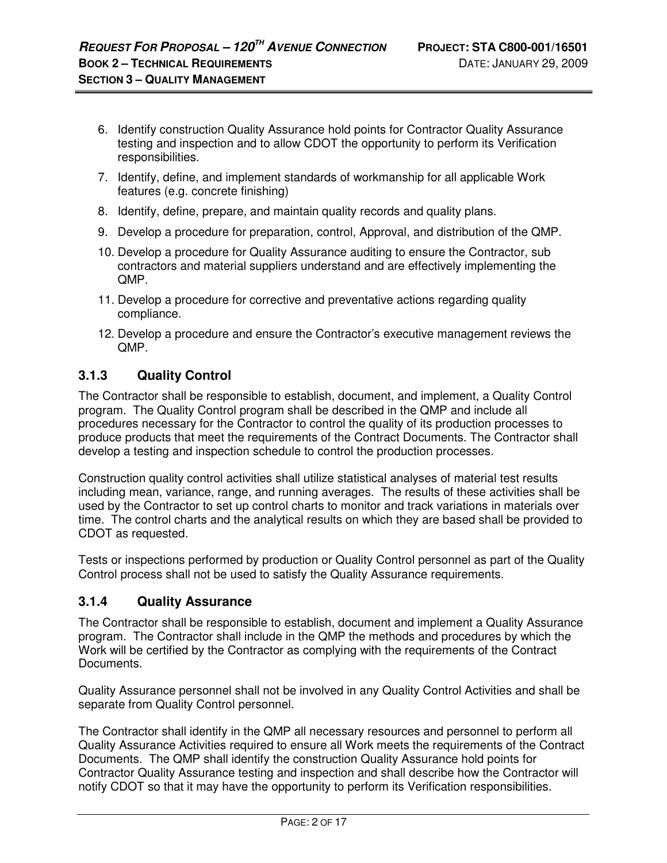- 6. Identify construction Quality Assurance hold points for Contractor Quality Assurance testing and inspection and to allow CDOT the opportunity to perform its Verification responsibilities.
- 7. Identify, define, and implement standards of workmanship for all applicable Work features (e.g. concrete finishing)
- 8. Identify, define, prepare, and maintain quality records and quality plans.
- 9. Develop a procedure for preparation, control, Approval, and distribution of the QMP.
- 10. Develop a procedure for Quality Assurance auditing to ensure the Contractor, sub contractors and material suppliers understand and are effectively implementing the QMP.
- 11. Develop a procedure for corrective and preventative actions regarding quality compliance.
- 12. Develop a procedure and ensure the Contractor's executive management reviews the QMP.

### **3.1.3 Quality Control**

The Contractor shall be responsible to establish, document, and implement, a Quality Control program. The Quality Control program shall be described in the QMP and include all procedures necessary for the Contractor to control the quality of its production processes to produce products that meet the requirements of the Contract Documents. The Contractor shall develop a testing and inspection schedule to control the production processes.

Construction quality control activities shall utilize statistical analyses of material test results including mean, variance, range, and running averages. The results of these activities shall be used by the Contractor to set up control charts to monitor and track variations in materials over time. The control charts and the analytical results on which they are based shall be provided to CDOT as requested.

Tests or inspections performed by production or Quality Control personnel as part of the Quality Control process shall not be used to satisfy the Quality Assurance requirements.

### **3.1.4 Quality Assurance**

The Contractor shall be responsible to establish, document and implement a Quality Assurance program. The Contractor shall include in the QMP the methods and procedures by which the Work will be certified by the Contractor as complying with the requirements of the Contract Documents.

Quality Assurance personnel shall not be involved in any Quality Control Activities and shall be separate from Quality Control personnel.

The Contractor shall identify in the QMP all necessary resources and personnel to perform all Quality Assurance Activities required to ensure all Work meets the requirements of the Contract Documents. The QMP shall identify the construction Quality Assurance hold points for Contractor Quality Assurance testing and inspection and shall describe how the Contractor will notify CDOT so that it may have the opportunity to perform its Verification responsibilities.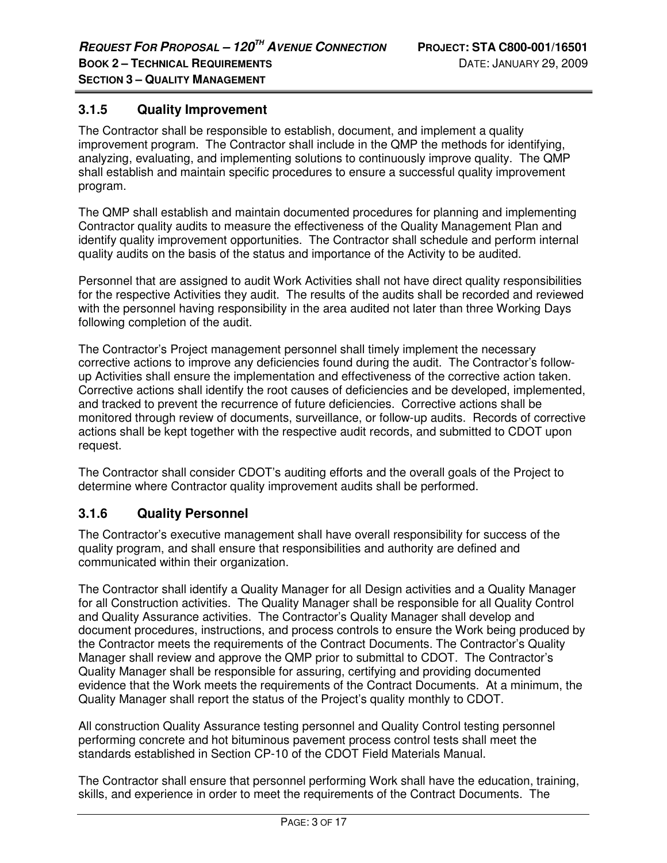### **3.1.5 Quality Improvement**

The Contractor shall be responsible to establish, document, and implement a quality improvement program. The Contractor shall include in the QMP the methods for identifying, analyzing, evaluating, and implementing solutions to continuously improve quality. The QMP shall establish and maintain specific procedures to ensure a successful quality improvement program.

The QMP shall establish and maintain documented procedures for planning and implementing Contractor quality audits to measure the effectiveness of the Quality Management Plan and identify quality improvement opportunities. The Contractor shall schedule and perform internal quality audits on the basis of the status and importance of the Activity to be audited.

Personnel that are assigned to audit Work Activities shall not have direct quality responsibilities for the respective Activities they audit. The results of the audits shall be recorded and reviewed with the personnel having responsibility in the area audited not later than three Working Days following completion of the audit.

The Contractor's Project management personnel shall timely implement the necessary corrective actions to improve any deficiencies found during the audit. The Contractor's followup Activities shall ensure the implementation and effectiveness of the corrective action taken. Corrective actions shall identify the root causes of deficiencies and be developed, implemented, and tracked to prevent the recurrence of future deficiencies. Corrective actions shall be monitored through review of documents, surveillance, or follow-up audits. Records of corrective actions shall be kept together with the respective audit records, and submitted to CDOT upon request.

The Contractor shall consider CDOT's auditing efforts and the overall goals of the Project to determine where Contractor quality improvement audits shall be performed.

### **3.1.6 Quality Personnel**

The Contractor's executive management shall have overall responsibility for success of the quality program, and shall ensure that responsibilities and authority are defined and communicated within their organization.

The Contractor shall identify a Quality Manager for all Design activities and a Quality Manager for all Construction activities. The Quality Manager shall be responsible for all Quality Control and Quality Assurance activities. The Contractor's Quality Manager shall develop and document procedures, instructions, and process controls to ensure the Work being produced by the Contractor meets the requirements of the Contract Documents. The Contractor's Quality Manager shall review and approve the QMP prior to submittal to CDOT. The Contractor's Quality Manager shall be responsible for assuring, certifying and providing documented evidence that the Work meets the requirements of the Contract Documents. At a minimum, the Quality Manager shall report the status of the Project's quality monthly to CDOT.

All construction Quality Assurance testing personnel and Quality Control testing personnel performing concrete and hot bituminous pavement process control tests shall meet the standards established in Section CP-10 of the CDOT Field Materials Manual.

The Contractor shall ensure that personnel performing Work shall have the education, training, skills, and experience in order to meet the requirements of the Contract Documents. The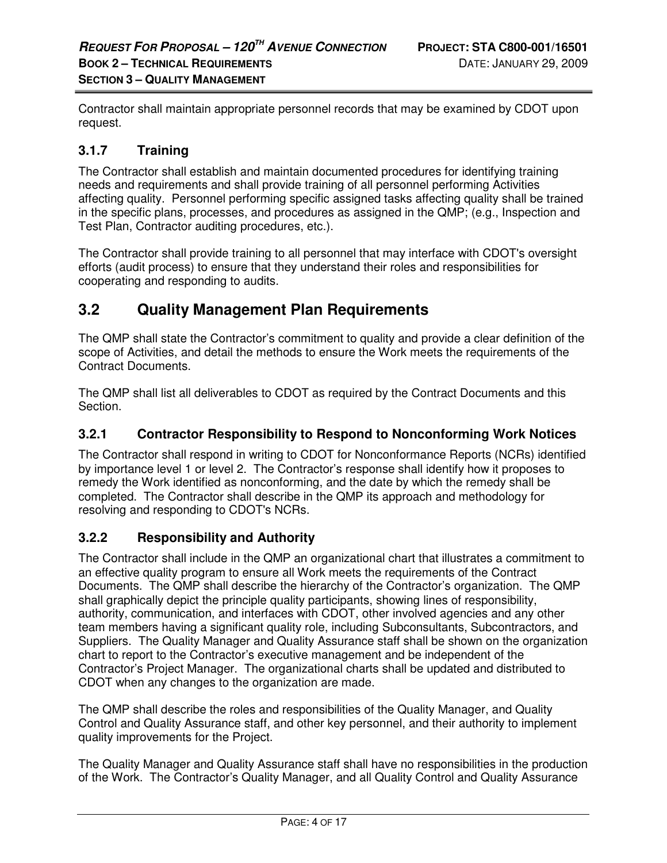Contractor shall maintain appropriate personnel records that may be examined by CDOT upon request.

### **3.1.7 Training**

The Contractor shall establish and maintain documented procedures for identifying training needs and requirements and shall provide training of all personnel performing Activities affecting quality. Personnel performing specific assigned tasks affecting quality shall be trained in the specific plans, processes, and procedures as assigned in the QMP; (e.g., Inspection and Test Plan, Contractor auditing procedures, etc.).

The Contractor shall provide training to all personnel that may interface with CDOT's oversight efforts (audit process) to ensure that they understand their roles and responsibilities for cooperating and responding to audits.

## **3.2 Quality Management Plan Requirements**

The QMP shall state the Contractor's commitment to quality and provide a clear definition of the scope of Activities, and detail the methods to ensure the Work meets the requirements of the Contract Documents.

The QMP shall list all deliverables to CDOT as required by the Contract Documents and this Section.

### **3.2.1 Contractor Responsibility to Respond to Nonconforming Work Notices**

The Contractor shall respond in writing to CDOT for Nonconformance Reports (NCRs) identified by importance level 1 or level 2. The Contractor's response shall identify how it proposes to remedy the Work identified as nonconforming, and the date by which the remedy shall be completed. The Contractor shall describe in the QMP its approach and methodology for resolving and responding to CDOT's NCRs.

### **3.2.2 Responsibility and Authority**

The Contractor shall include in the QMP an organizational chart that illustrates a commitment to an effective quality program to ensure all Work meets the requirements of the Contract Documents. The QMP shall describe the hierarchy of the Contractor's organization. The QMP shall graphically depict the principle quality participants, showing lines of responsibility, authority, communication, and interfaces with CDOT, other involved agencies and any other team members having a significant quality role, including Subconsultants, Subcontractors, and Suppliers. The Quality Manager and Quality Assurance staff shall be shown on the organization chart to report to the Contractor's executive management and be independent of the Contractor's Project Manager. The organizational charts shall be updated and distributed to CDOT when any changes to the organization are made.

The QMP shall describe the roles and responsibilities of the Quality Manager, and Quality Control and Quality Assurance staff, and other key personnel, and their authority to implement quality improvements for the Project.

The Quality Manager and Quality Assurance staff shall have no responsibilities in the production of the Work. The Contractor's Quality Manager, and all Quality Control and Quality Assurance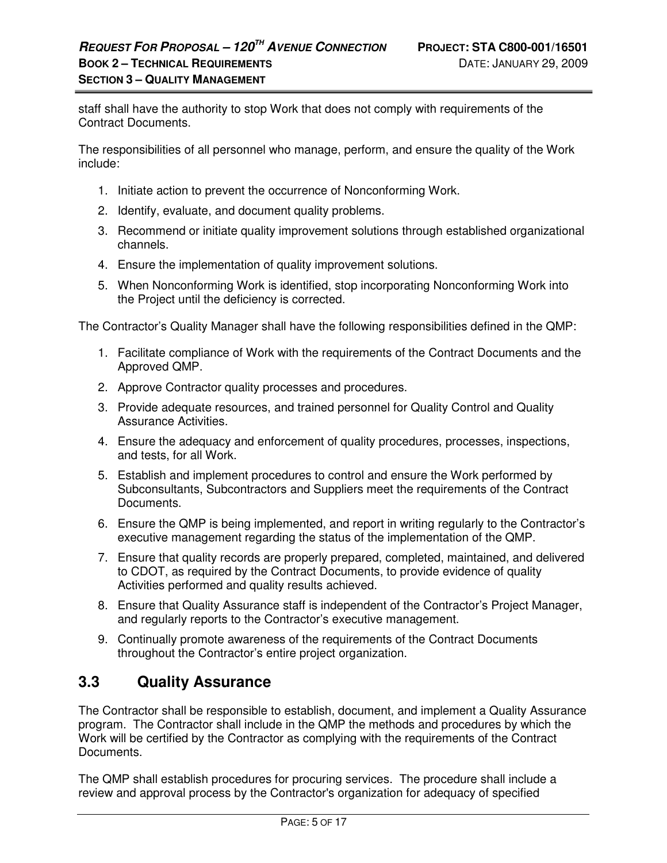staff shall have the authority to stop Work that does not comply with requirements of the Contract Documents.

The responsibilities of all personnel who manage, perform, and ensure the quality of the Work include:

- 1. Initiate action to prevent the occurrence of Nonconforming Work.
- 2. Identify, evaluate, and document quality problems.
- 3. Recommend or initiate quality improvement solutions through established organizational channels.
- 4. Ensure the implementation of quality improvement solutions.
- 5. When Nonconforming Work is identified, stop incorporating Nonconforming Work into the Project until the deficiency is corrected.

The Contractor's Quality Manager shall have the following responsibilities defined in the QMP:

- 1. Facilitate compliance of Work with the requirements of the Contract Documents and the Approved QMP.
- 2. Approve Contractor quality processes and procedures.
- 3. Provide adequate resources, and trained personnel for Quality Control and Quality Assurance Activities.
- 4. Ensure the adequacy and enforcement of quality procedures, processes, inspections, and tests, for all Work.
- 5. Establish and implement procedures to control and ensure the Work performed by Subconsultants, Subcontractors and Suppliers meet the requirements of the Contract Documents.
- 6. Ensure the QMP is being implemented, and report in writing regularly to the Contractor's executive management regarding the status of the implementation of the QMP.
- 7. Ensure that quality records are properly prepared, completed, maintained, and delivered to CDOT, as required by the Contract Documents, to provide evidence of quality Activities performed and quality results achieved.
- 8. Ensure that Quality Assurance staff is independent of the Contractor's Project Manager, and regularly reports to the Contractor's executive management.
- 9. Continually promote awareness of the requirements of the Contract Documents throughout the Contractor's entire project organization.

## **3.3 Quality Assurance**

The Contractor shall be responsible to establish, document, and implement a Quality Assurance program. The Contractor shall include in the QMP the methods and procedures by which the Work will be certified by the Contractor as complying with the requirements of the Contract Documents.

The QMP shall establish procedures for procuring services. The procedure shall include a review and approval process by the Contractor's organization for adequacy of specified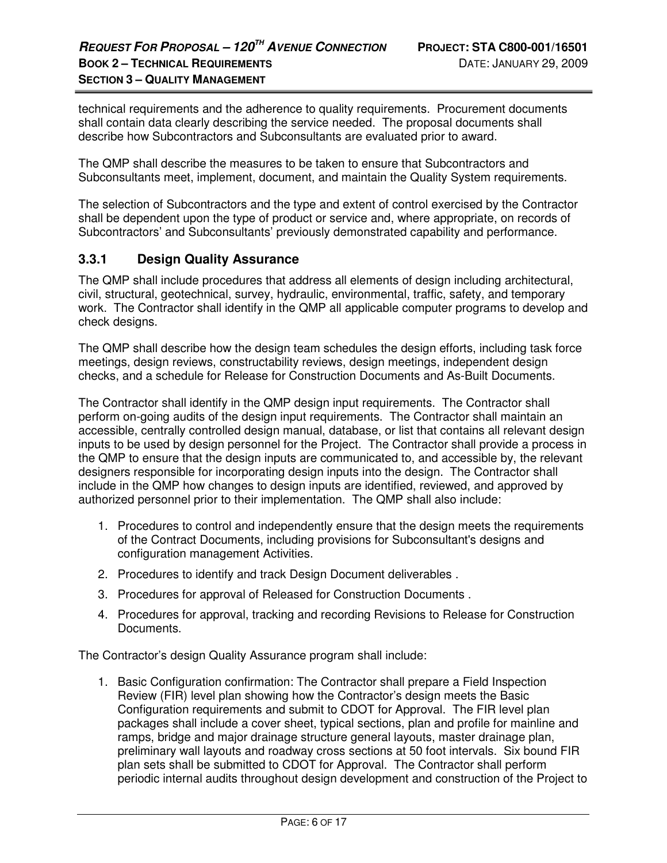technical requirements and the adherence to quality requirements. Procurement documents shall contain data clearly describing the service needed. The proposal documents shall describe how Subcontractors and Subconsultants are evaluated prior to award.

The QMP shall describe the measures to be taken to ensure that Subcontractors and Subconsultants meet, implement, document, and maintain the Quality System requirements.

The selection of Subcontractors and the type and extent of control exercised by the Contractor shall be dependent upon the type of product or service and, where appropriate, on records of Subcontractors' and Subconsultants' previously demonstrated capability and performance.

### **3.3.1 Design Quality Assurance**

The QMP shall include procedures that address all elements of design including architectural, civil, structural, geotechnical, survey, hydraulic, environmental, traffic, safety, and temporary work. The Contractor shall identify in the QMP all applicable computer programs to develop and check designs.

The QMP shall describe how the design team schedules the design efforts, including task force meetings, design reviews, constructability reviews, design meetings, independent design checks, and a schedule for Release for Construction Documents and As-Built Documents.

The Contractor shall identify in the QMP design input requirements. The Contractor shall perform on-going audits of the design input requirements. The Contractor shall maintain an accessible, centrally controlled design manual, database, or list that contains all relevant design inputs to be used by design personnel for the Project. The Contractor shall provide a process in the QMP to ensure that the design inputs are communicated to, and accessible by, the relevant designers responsible for incorporating design inputs into the design. The Contractor shall include in the QMP how changes to design inputs are identified, reviewed, and approved by authorized personnel prior to their implementation. The QMP shall also include:

- 1. Procedures to control and independently ensure that the design meets the requirements of the Contract Documents, including provisions for Subconsultant's designs and configuration management Activities.
- 2. Procedures to identify and track Design Document deliverables .
- 3. Procedures for approval of Released for Construction Documents .
- 4. Procedures for approval, tracking and recording Revisions to Release for Construction Documents.

The Contractor's design Quality Assurance program shall include:

1. Basic Configuration confirmation: The Contractor shall prepare a Field Inspection Review (FIR) level plan showing how the Contractor's design meets the Basic Configuration requirements and submit to CDOT for Approval. The FIR level plan packages shall include a cover sheet, typical sections, plan and profile for mainline and ramps, bridge and major drainage structure general layouts, master drainage plan, preliminary wall layouts and roadway cross sections at 50 foot intervals. Six bound FIR plan sets shall be submitted to CDOT for Approval. The Contractor shall perform periodic internal audits throughout design development and construction of the Project to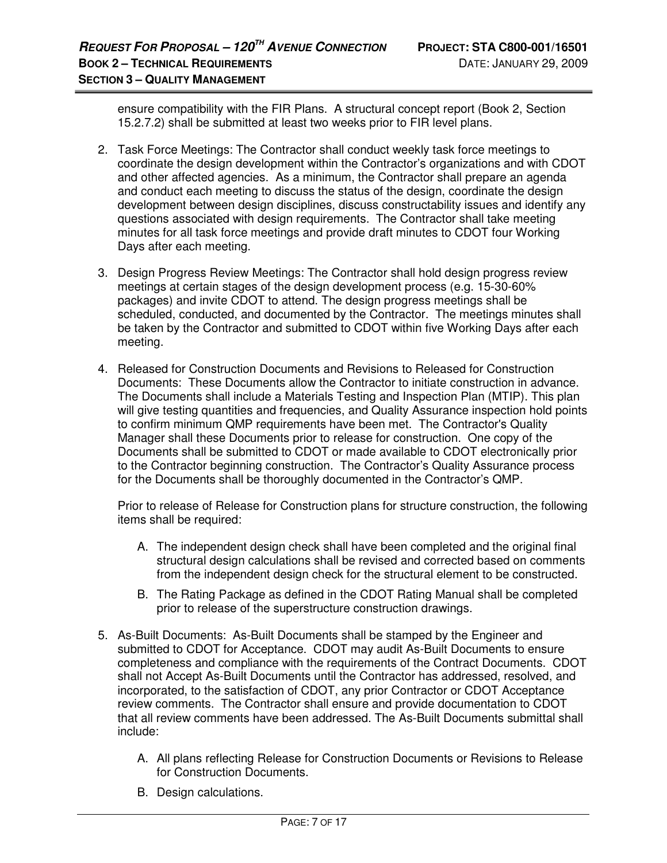ensure compatibility with the FIR Plans. A structural concept report (Book 2, Section 15.2.7.2) shall be submitted at least two weeks prior to FIR level plans.

- 2. Task Force Meetings: The Contractor shall conduct weekly task force meetings to coordinate the design development within the Contractor's organizations and with CDOT and other affected agencies. As a minimum, the Contractor shall prepare an agenda and conduct each meeting to discuss the status of the design, coordinate the design development between design disciplines, discuss constructability issues and identify any questions associated with design requirements. The Contractor shall take meeting minutes for all task force meetings and provide draft minutes to CDOT four Working Days after each meeting.
- 3. Design Progress Review Meetings: The Contractor shall hold design progress review meetings at certain stages of the design development process (e.g. 15-30-60% packages) and invite CDOT to attend. The design progress meetings shall be scheduled, conducted, and documented by the Contractor. The meetings minutes shall be taken by the Contractor and submitted to CDOT within five Working Days after each meeting.
- 4. Released for Construction Documents and Revisions to Released for Construction Documents: These Documents allow the Contractor to initiate construction in advance. The Documents shall include a Materials Testing and Inspection Plan (MTIP). This plan will give testing quantities and frequencies, and Quality Assurance inspection hold points to confirm minimum QMP requirements have been met. The Contractor's Quality Manager shall these Documents prior to release for construction. One copy of the Documents shall be submitted to CDOT or made available to CDOT electronically prior to the Contractor beginning construction. The Contractor's Quality Assurance process for the Documents shall be thoroughly documented in the Contractor's QMP.

Prior to release of Release for Construction plans for structure construction, the following items shall be required:

- A. The independent design check shall have been completed and the original final structural design calculations shall be revised and corrected based on comments from the independent design check for the structural element to be constructed.
- B. The Rating Package as defined in the CDOT Rating Manual shall be completed prior to release of the superstructure construction drawings.
- 5. As-Built Documents: As-Built Documents shall be stamped by the Engineer and submitted to CDOT for Acceptance. CDOT may audit As-Built Documents to ensure completeness and compliance with the requirements of the Contract Documents. CDOT shall not Accept As-Built Documents until the Contractor has addressed, resolved, and incorporated, to the satisfaction of CDOT, any prior Contractor or CDOT Acceptance review comments. The Contractor shall ensure and provide documentation to CDOT that all review comments have been addressed. The As-Built Documents submittal shall include:
	- A. All plans reflecting Release for Construction Documents or Revisions to Release for Construction Documents.
	- B. Design calculations.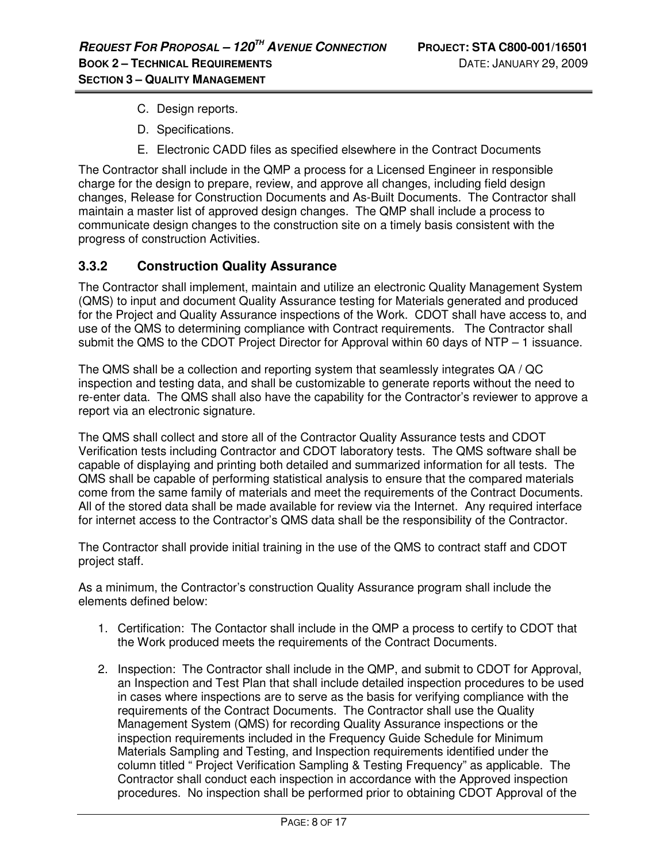- C. Design reports.
- D. Specifications.
- E. Electronic CADD files as specified elsewhere in the Contract Documents

The Contractor shall include in the QMP a process for a Licensed Engineer in responsible charge for the design to prepare, review, and approve all changes, including field design changes, Release for Construction Documents and As-Built Documents. The Contractor shall maintain a master list of approved design changes. The QMP shall include a process to communicate design changes to the construction site on a timely basis consistent with the progress of construction Activities.

### **3.3.2 Construction Quality Assurance**

The Contractor shall implement, maintain and utilize an electronic Quality Management System (QMS) to input and document Quality Assurance testing for Materials generated and produced for the Project and Quality Assurance inspections of the Work. CDOT shall have access to, and use of the QMS to determining compliance with Contract requirements. The Contractor shall submit the QMS to the CDOT Project Director for Approval within 60 days of NTP – 1 issuance.

The QMS shall be a collection and reporting system that seamlessly integrates QA / QC inspection and testing data, and shall be customizable to generate reports without the need to re-enter data. The QMS shall also have the capability for the Contractor's reviewer to approve a report via an electronic signature.

The QMS shall collect and store all of the Contractor Quality Assurance tests and CDOT Verification tests including Contractor and CDOT laboratory tests. The QMS software shall be capable of displaying and printing both detailed and summarized information for all tests. The QMS shall be capable of performing statistical analysis to ensure that the compared materials come from the same family of materials and meet the requirements of the Contract Documents. All of the stored data shall be made available for review via the Internet. Any required interface for internet access to the Contractor's QMS data shall be the responsibility of the Contractor.

The Contractor shall provide initial training in the use of the QMS to contract staff and CDOT project staff.

As a minimum, the Contractor's construction Quality Assurance program shall include the elements defined below:

- 1. Certification: The Contactor shall include in the QMP a process to certify to CDOT that the Work produced meets the requirements of the Contract Documents.
- 2. Inspection: The Contractor shall include in the QMP, and submit to CDOT for Approval, an Inspection and Test Plan that shall include detailed inspection procedures to be used in cases where inspections are to serve as the basis for verifying compliance with the requirements of the Contract Documents. The Contractor shall use the Quality Management System (QMS) for recording Quality Assurance inspections or the inspection requirements included in the Frequency Guide Schedule for Minimum Materials Sampling and Testing, and Inspection requirements identified under the column titled " Project Verification Sampling & Testing Frequency" as applicable. The Contractor shall conduct each inspection in accordance with the Approved inspection procedures. No inspection shall be performed prior to obtaining CDOT Approval of the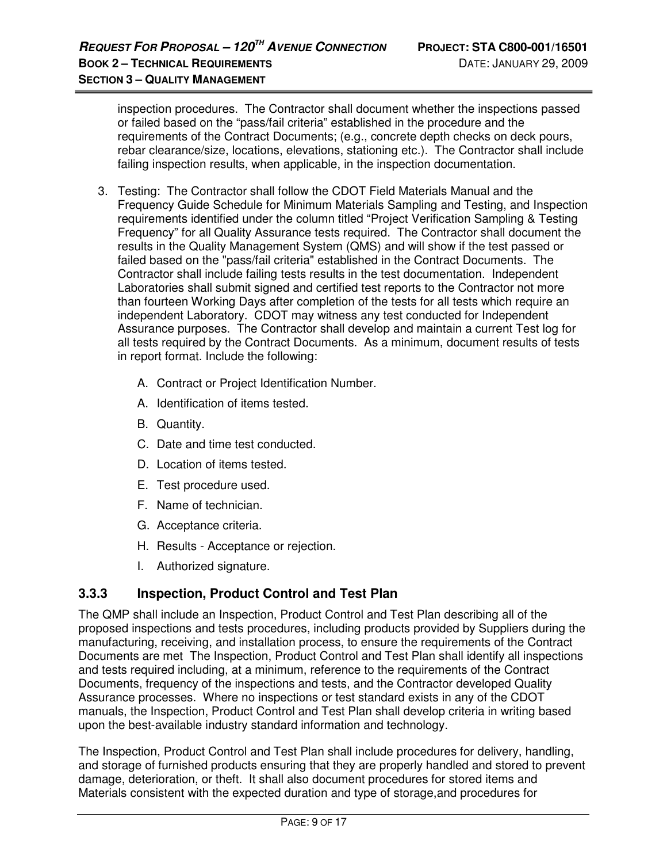inspection procedures. The Contractor shall document whether the inspections passed or failed based on the "pass/fail criteria" established in the procedure and the requirements of the Contract Documents; (e.g., concrete depth checks on deck pours, rebar clearance/size, locations, elevations, stationing etc.). The Contractor shall include failing inspection results, when applicable, in the inspection documentation.

- 3. Testing: The Contractor shall follow the CDOT Field Materials Manual and the Frequency Guide Schedule for Minimum Materials Sampling and Testing, and Inspection requirements identified under the column titled "Project Verification Sampling & Testing Frequency" for all Quality Assurance tests required. The Contractor shall document the results in the Quality Management System (QMS) and will show if the test passed or failed based on the "pass/fail criteria" established in the Contract Documents. The Contractor shall include failing tests results in the test documentation. Independent Laboratories shall submit signed and certified test reports to the Contractor not more than fourteen Working Days after completion of the tests for all tests which require an independent Laboratory. CDOT may witness any test conducted for Independent Assurance purposes. The Contractor shall develop and maintain a current Test log for all tests required by the Contract Documents. As a minimum, document results of tests in report format. Include the following:
	- A. Contract or Project Identification Number.
	- A. Identification of items tested.
	- B. Quantity.
	- C. Date and time test conducted.
	- D. Location of items tested.
	- E. Test procedure used.
	- F. Name of technician.
	- G. Acceptance criteria.
	- H. Results Acceptance or rejection.
	- I. Authorized signature.

### **3.3.3 Inspection, Product Control and Test Plan**

The QMP shall include an Inspection, Product Control and Test Plan describing all of the proposed inspections and tests procedures, including products provided by Suppliers during the manufacturing, receiving, and installation process, to ensure the requirements of the Contract Documents are met The Inspection, Product Control and Test Plan shall identify all inspections and tests required including, at a minimum, reference to the requirements of the Contract Documents, frequency of the inspections and tests, and the Contractor developed Quality Assurance processes. Where no inspections or test standard exists in any of the CDOT manuals, the Inspection, Product Control and Test Plan shall develop criteria in writing based upon the best-available industry standard information and technology.

The Inspection, Product Control and Test Plan shall include procedures for delivery, handling, and storage of furnished products ensuring that they are properly handled and stored to prevent damage, deterioration, or theft. It shall also document procedures for stored items and Materials consistent with the expected duration and type of storage,and procedures for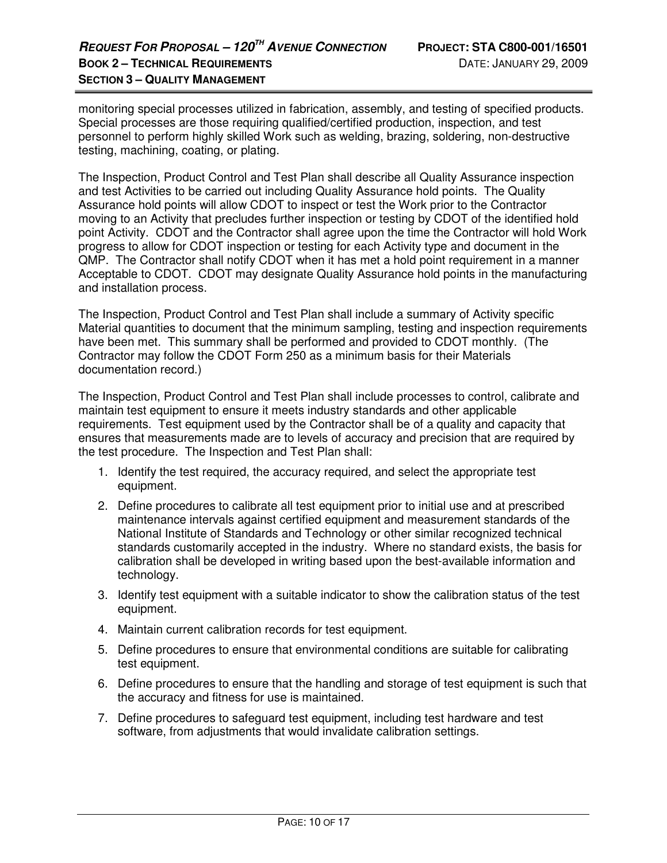monitoring special processes utilized in fabrication, assembly, and testing of specified products. Special processes are those requiring qualified/certified production, inspection, and test personnel to perform highly skilled Work such as welding, brazing, soldering, non-destructive testing, machining, coating, or plating.

The Inspection, Product Control and Test Plan shall describe all Quality Assurance inspection and test Activities to be carried out including Quality Assurance hold points. The Quality Assurance hold points will allow CDOT to inspect or test the Work prior to the Contractor moving to an Activity that precludes further inspection or testing by CDOT of the identified hold point Activity. CDOT and the Contractor shall agree upon the time the Contractor will hold Work progress to allow for CDOT inspection or testing for each Activity type and document in the QMP. The Contractor shall notify CDOT when it has met a hold point requirement in a manner Acceptable to CDOT. CDOT may designate Quality Assurance hold points in the manufacturing and installation process.

The Inspection, Product Control and Test Plan shall include a summary of Activity specific Material quantities to document that the minimum sampling, testing and inspection requirements have been met. This summary shall be performed and provided to CDOT monthly. (The Contractor may follow the CDOT Form 250 as a minimum basis for their Materials documentation record.)

The Inspection, Product Control and Test Plan shall include processes to control, calibrate and maintain test equipment to ensure it meets industry standards and other applicable requirements. Test equipment used by the Contractor shall be of a quality and capacity that ensures that measurements made are to levels of accuracy and precision that are required by the test procedure. The Inspection and Test Plan shall:

- 1. Identify the test required, the accuracy required, and select the appropriate test equipment.
- 2. Define procedures to calibrate all test equipment prior to initial use and at prescribed maintenance intervals against certified equipment and measurement standards of the National Institute of Standards and Technology or other similar recognized technical standards customarily accepted in the industry. Where no standard exists, the basis for calibration shall be developed in writing based upon the best-available information and technology.
- 3. Identify test equipment with a suitable indicator to show the calibration status of the test equipment.
- 4. Maintain current calibration records for test equipment.
- 5. Define procedures to ensure that environmental conditions are suitable for calibrating test equipment.
- 6. Define procedures to ensure that the handling and storage of test equipment is such that the accuracy and fitness for use is maintained.
- 7. Define procedures to safeguard test equipment, including test hardware and test software, from adjustments that would invalidate calibration settings.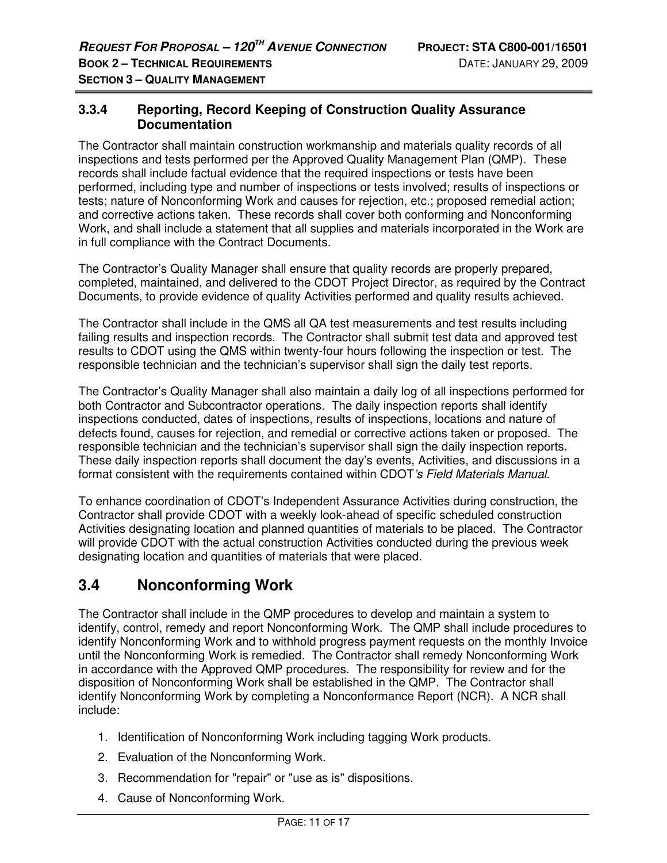### **3.3.4 Reporting, Record Keeping of Construction Quality Assurance Documentation**

The Contractor shall maintain construction workmanship and materials quality records of all inspections and tests performed per the Approved Quality Management Plan (QMP). These records shall include factual evidence that the required inspections or tests have been performed, including type and number of inspections or tests involved; results of inspections or tests; nature of Nonconforming Work and causes for rejection, etc.; proposed remedial action; and corrective actions taken. These records shall cover both conforming and Nonconforming Work, and shall include a statement that all supplies and materials incorporated in the Work are in full compliance with the Contract Documents.

The Contractor's Quality Manager shall ensure that quality records are properly prepared, completed, maintained, and delivered to the CDOT Project Director, as required by the Contract Documents, to provide evidence of quality Activities performed and quality results achieved.

The Contractor shall include in the QMS all QA test measurements and test results including failing results and inspection records. The Contractor shall submit test data and approved test results to CDOT using the QMS within twenty-four hours following the inspection or test. The responsible technician and the technician's supervisor shall sign the daily test reports.

The Contractor's Quality Manager shall also maintain a daily log of all inspections performed for both Contractor and Subcontractor operations. The daily inspection reports shall identify inspections conducted, dates of inspections, results of inspections, locations and nature of defects found, causes for rejection, and remedial or corrective actions taken or proposed. The responsible technician and the technician's supervisor shall sign the daily inspection reports. These daily inspection reports shall document the day's events, Activities, and discussions in a format consistent with the requirements contained within CDOT's Field Materials Manual.

To enhance coordination of CDOT's Independent Assurance Activities during construction, the Contractor shall provide CDOT with a weekly look-ahead of specific scheduled construction Activities designating location and planned quantities of materials to be placed. The Contractor will provide CDOT with the actual construction Activities conducted during the previous week designating location and quantities of materials that were placed.

## **3.4 Nonconforming Work**

The Contractor shall include in the QMP procedures to develop and maintain a system to identify, control, remedy and report Nonconforming Work. The QMP shall include procedures to identify Nonconforming Work and to withhold progress payment requests on the monthly Invoice until the Nonconforming Work is remedied. The Contractor shall remedy Nonconforming Work in accordance with the Approved QMP procedures. The responsibility for review and for the disposition of Nonconforming Work shall be established in the QMP. The Contractor shall identify Nonconforming Work by completing a Nonconformance Report (NCR). A NCR shall include:

- 1. Identification of Nonconforming Work including tagging Work products.
- 2. Evaluation of the Nonconforming Work.
- 3. Recommendation for "repair" or "use as is" dispositions.
- 4. Cause of Nonconforming Work.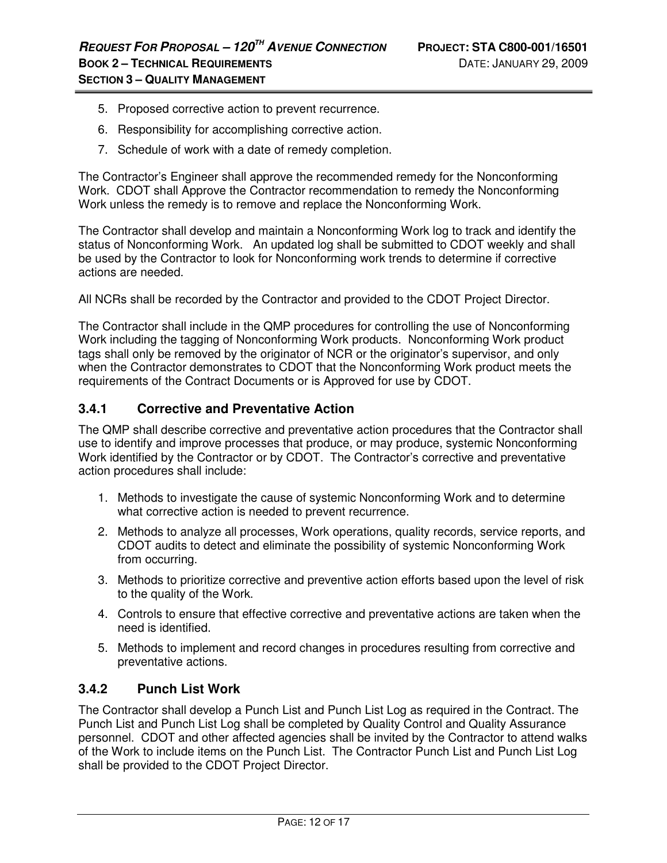- 5. Proposed corrective action to prevent recurrence.
- 6. Responsibility for accomplishing corrective action.
- 7. Schedule of work with a date of remedy completion.

The Contractor's Engineer shall approve the recommended remedy for the Nonconforming Work. CDOT shall Approve the Contractor recommendation to remedy the Nonconforming Work unless the remedy is to remove and replace the Nonconforming Work.

The Contractor shall develop and maintain a Nonconforming Work log to track and identify the status of Nonconforming Work. An updated log shall be submitted to CDOT weekly and shall be used by the Contractor to look for Nonconforming work trends to determine if corrective actions are needed.

All NCRs shall be recorded by the Contractor and provided to the CDOT Project Director.

The Contractor shall include in the QMP procedures for controlling the use of Nonconforming Work including the tagging of Nonconforming Work products. Nonconforming Work product tags shall only be removed by the originator of NCR or the originator's supervisor, and only when the Contractor demonstrates to CDOT that the Nonconforming Work product meets the requirements of the Contract Documents or is Approved for use by CDOT.

### **3.4.1 Corrective and Preventative Action**

The QMP shall describe corrective and preventative action procedures that the Contractor shall use to identify and improve processes that produce, or may produce, systemic Nonconforming Work identified by the Contractor or by CDOT. The Contractor's corrective and preventative action procedures shall include:

- 1. Methods to investigate the cause of systemic Nonconforming Work and to determine what corrective action is needed to prevent recurrence.
- 2. Methods to analyze all processes, Work operations, quality records, service reports, and CDOT audits to detect and eliminate the possibility of systemic Nonconforming Work from occurring.
- 3. Methods to prioritize corrective and preventive action efforts based upon the level of risk to the quality of the Work.
- 4. Controls to ensure that effective corrective and preventative actions are taken when the need is identified.
- 5. Methods to implement and record changes in procedures resulting from corrective and preventative actions.

### **3.4.2 Punch List Work**

The Contractor shall develop a Punch List and Punch List Log as required in the Contract. The Punch List and Punch List Log shall be completed by Quality Control and Quality Assurance personnel. CDOT and other affected agencies shall be invited by the Contractor to attend walks of the Work to include items on the Punch List. The Contractor Punch List and Punch List Log shall be provided to the CDOT Project Director.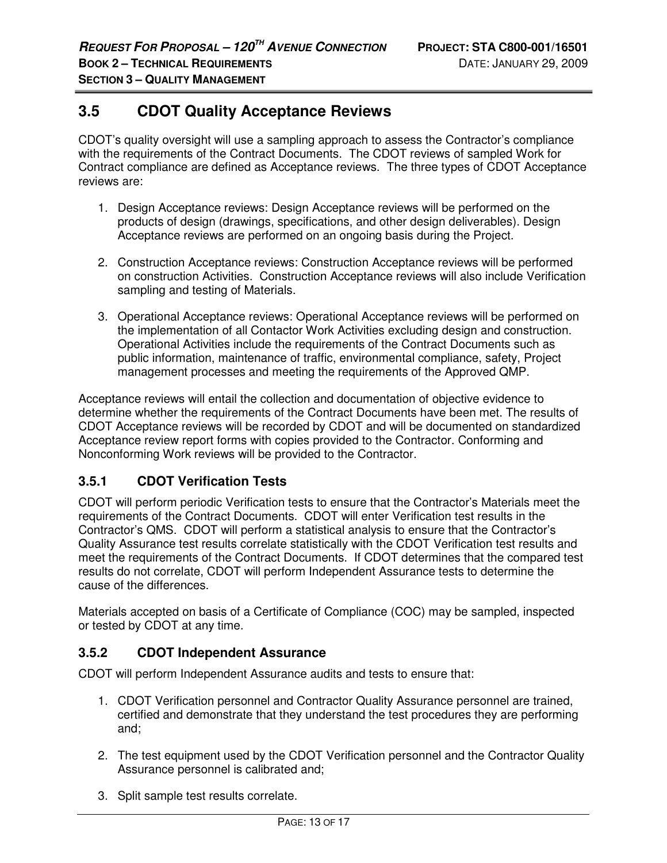## **3.5 CDOT Quality Acceptance Reviews**

CDOT's quality oversight will use a sampling approach to assess the Contractor's compliance with the requirements of the Contract Documents. The CDOT reviews of sampled Work for Contract compliance are defined as Acceptance reviews. The three types of CDOT Acceptance reviews are:

- 1. Design Acceptance reviews: Design Acceptance reviews will be performed on the products of design (drawings, specifications, and other design deliverables). Design Acceptance reviews are performed on an ongoing basis during the Project.
- 2. Construction Acceptance reviews: Construction Acceptance reviews will be performed on construction Activities. Construction Acceptance reviews will also include Verification sampling and testing of Materials.
- 3. Operational Acceptance reviews: Operational Acceptance reviews will be performed on the implementation of all Contactor Work Activities excluding design and construction. Operational Activities include the requirements of the Contract Documents such as public information, maintenance of traffic, environmental compliance, safety, Project management processes and meeting the requirements of the Approved QMP.

Acceptance reviews will entail the collection and documentation of objective evidence to determine whether the requirements of the Contract Documents have been met. The results of CDOT Acceptance reviews will be recorded by CDOT and will be documented on standardized Acceptance review report forms with copies provided to the Contractor. Conforming and Nonconforming Work reviews will be provided to the Contractor.

### **3.5.1 CDOT Verification Tests**

CDOT will perform periodic Verification tests to ensure that the Contractor's Materials meet the requirements of the Contract Documents. CDOT will enter Verification test results in the Contractor's QMS. CDOT will perform a statistical analysis to ensure that the Contractor's Quality Assurance test results correlate statistically with the CDOT Verification test results and meet the requirements of the Contract Documents. If CDOT determines that the compared test results do not correlate, CDOT will perform Independent Assurance tests to determine the cause of the differences.

Materials accepted on basis of a Certificate of Compliance (COC) may be sampled, inspected or tested by CDOT at any time.

### **3.5.2 CDOT Independent Assurance**

CDOT will perform Independent Assurance audits and tests to ensure that:

- 1. CDOT Verification personnel and Contractor Quality Assurance personnel are trained, certified and demonstrate that they understand the test procedures they are performing and;
- 2. The test equipment used by the CDOT Verification personnel and the Contractor Quality Assurance personnel is calibrated and;
- 3. Split sample test results correlate.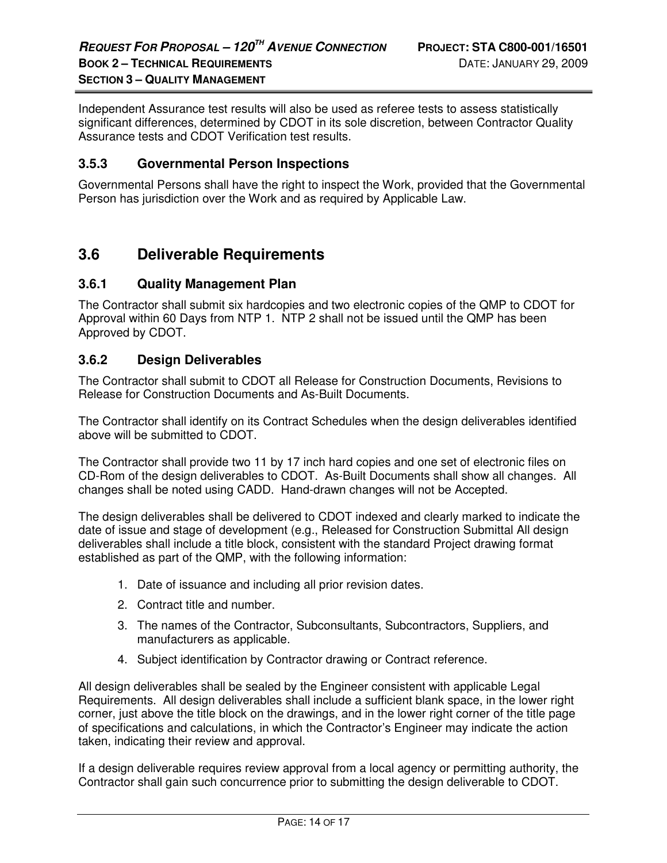Independent Assurance test results will also be used as referee tests to assess statistically significant differences, determined by CDOT in its sole discretion, between Contractor Quality Assurance tests and CDOT Verification test results.

### **3.5.3 Governmental Person Inspections**

Governmental Persons shall have the right to inspect the Work, provided that the Governmental Person has jurisdiction over the Work and as required by Applicable Law.

### **3.6 Deliverable Requirements**

### **3.6.1 Quality Management Plan**

The Contractor shall submit six hardcopies and two electronic copies of the QMP to CDOT for Approval within 60 Days from NTP 1. NTP 2 shall not be issued until the QMP has been Approved by CDOT.

### **3.6.2 Design Deliverables**

The Contractor shall submit to CDOT all Release for Construction Documents, Revisions to Release for Construction Documents and As-Built Documents.

The Contractor shall identify on its Contract Schedules when the design deliverables identified above will be submitted to CDOT.

The Contractor shall provide two 11 by 17 inch hard copies and one set of electronic files on CD-Rom of the design deliverables to CDOT. As-Built Documents shall show all changes. All changes shall be noted using CADD. Hand-drawn changes will not be Accepted.

The design deliverables shall be delivered to CDOT indexed and clearly marked to indicate the date of issue and stage of development (e.g., Released for Construction Submittal All design deliverables shall include a title block, consistent with the standard Project drawing format established as part of the QMP, with the following information:

- 1. Date of issuance and including all prior revision dates.
- 2. Contract title and number.
- 3. The names of the Contractor, Subconsultants, Subcontractors, Suppliers, and manufacturers as applicable.
- 4. Subject identification by Contractor drawing or Contract reference.

All design deliverables shall be sealed by the Engineer consistent with applicable Legal Requirements. All design deliverables shall include a sufficient blank space, in the lower right corner, just above the title block on the drawings, and in the lower right corner of the title page of specifications and calculations, in which the Contractor's Engineer may indicate the action taken, indicating their review and approval.

If a design deliverable requires review approval from a local agency or permitting authority, the Contractor shall gain such concurrence prior to submitting the design deliverable to CDOT.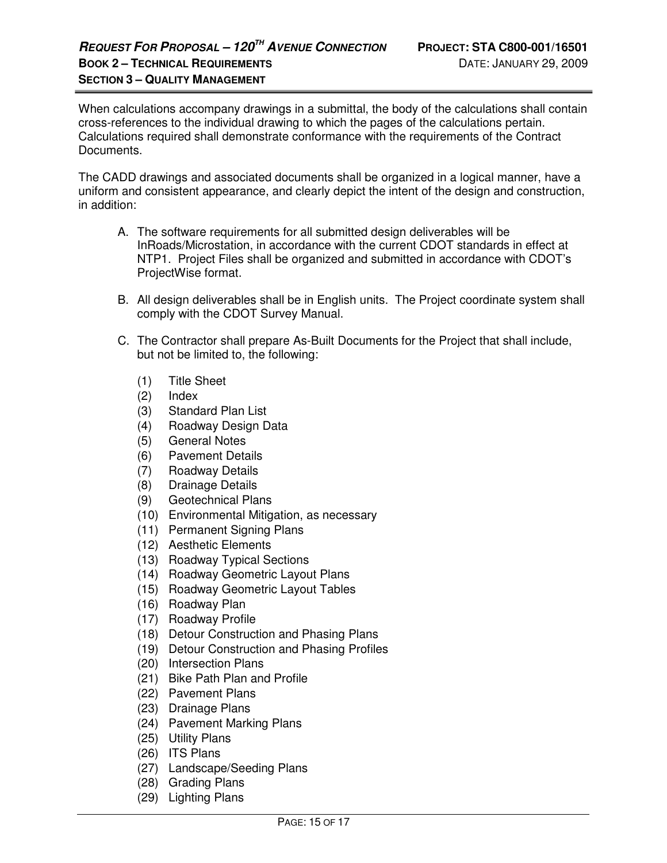When calculations accompany drawings in a submittal, the body of the calculations shall contain cross-references to the individual drawing to which the pages of the calculations pertain. Calculations required shall demonstrate conformance with the requirements of the Contract Documents.

The CADD drawings and associated documents shall be organized in a logical manner, have a uniform and consistent appearance, and clearly depict the intent of the design and construction, in addition:

- A. The software requirements for all submitted design deliverables will be InRoads/Microstation, in accordance with the current CDOT standards in effect at NTP1. Project Files shall be organized and submitted in accordance with CDOT's ProjectWise format.
- B. All design deliverables shall be in English units. The Project coordinate system shall comply with the CDOT Survey Manual.
- C. The Contractor shall prepare As-Built Documents for the Project that shall include, but not be limited to, the following:
	- (1) Title Sheet
	- (2) Index
	- (3) Standard Plan List
	- (4) Roadway Design Data
	- (5) General Notes
	- (6) Pavement Details
	- (7) Roadway Details
	- (8) Drainage Details
	- (9) Geotechnical Plans
	- (10) Environmental Mitigation, as necessary
	- (11) Permanent Signing Plans
	- (12) Aesthetic Elements
	- (13) Roadway Typical Sections
	- (14) Roadway Geometric Layout Plans
	- (15) Roadway Geometric Layout Tables
	- (16) Roadway Plan
	- (17) Roadway Profile
	- (18) Detour Construction and Phasing Plans
	- (19) Detour Construction and Phasing Profiles
	- (20) Intersection Plans
	- (21) Bike Path Plan and Profile
	- (22) Pavement Plans
	- (23) Drainage Plans
	- (24) Pavement Marking Plans
	- (25) Utility Plans
	- (26) ITS Plans
	- (27) Landscape/Seeding Plans
	- (28) Grading Plans
	- (29) Lighting Plans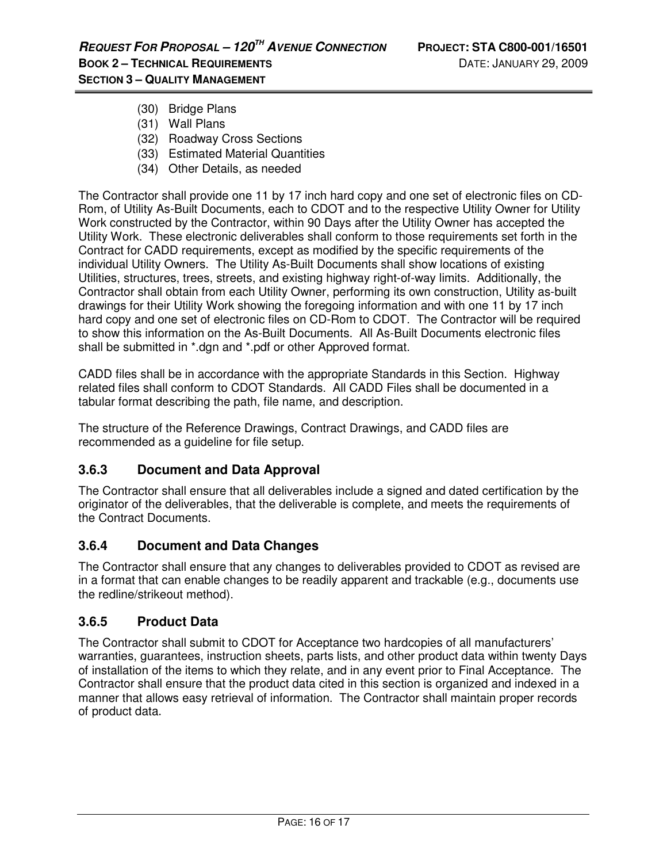- (30) Bridge Plans
- (31) Wall Plans
- (32) Roadway Cross Sections
- (33) Estimated Material Quantities
- (34) Other Details, as needed

The Contractor shall provide one 11 by 17 inch hard copy and one set of electronic files on CD-Rom, of Utility As-Built Documents, each to CDOT and to the respective Utility Owner for Utility Work constructed by the Contractor, within 90 Days after the Utility Owner has accepted the Utility Work. These electronic deliverables shall conform to those requirements set forth in the Contract for CADD requirements, except as modified by the specific requirements of the individual Utility Owners. The Utility As-Built Documents shall show locations of existing Utilities, structures, trees, streets, and existing highway right-of-way limits. Additionally, the Contractor shall obtain from each Utility Owner, performing its own construction, Utility as-built drawings for their Utility Work showing the foregoing information and with one 11 by 17 inch hard copy and one set of electronic files on CD-Rom to CDOT. The Contractor will be required to show this information on the As-Built Documents. All As-Built Documents electronic files shall be submitted in \*.dgn and \*.pdf or other Approved format.

CADD files shall be in accordance with the appropriate Standards in this Section. Highway related files shall conform to CDOT Standards. All CADD Files shall be documented in a tabular format describing the path, file name, and description.

The structure of the Reference Drawings, Contract Drawings, and CADD files are recommended as a guideline for file setup.

### **3.6.3 Document and Data Approval**

The Contractor shall ensure that all deliverables include a signed and dated certification by the originator of the deliverables, that the deliverable is complete, and meets the requirements of the Contract Documents.

### **3.6.4 Document and Data Changes**

The Contractor shall ensure that any changes to deliverables provided to CDOT as revised are in a format that can enable changes to be readily apparent and trackable (e.g., documents use the redline/strikeout method).

### **3.6.5 Product Data**

The Contractor shall submit to CDOT for Acceptance two hardcopies of all manufacturers' warranties, guarantees, instruction sheets, parts lists, and other product data within twenty Days of installation of the items to which they relate, and in any event prior to Final Acceptance. The Contractor shall ensure that the product data cited in this section is organized and indexed in a manner that allows easy retrieval of information. The Contractor shall maintain proper records of product data.